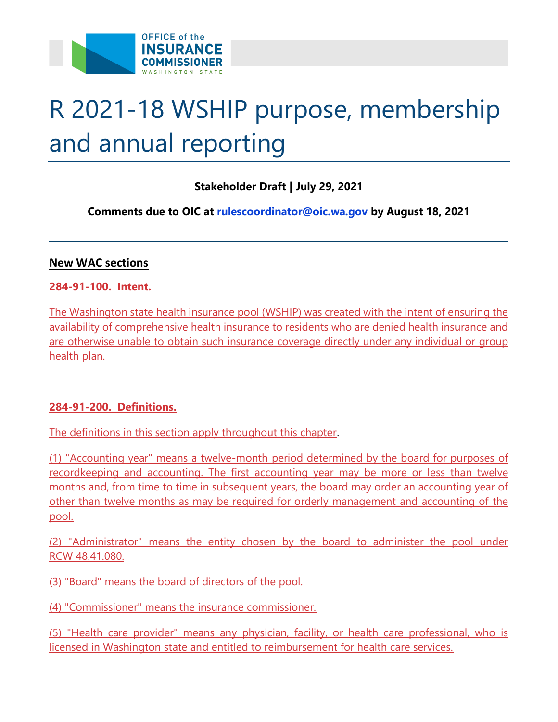

# R 2021-18 WSHIP purpose, membership and annual reporting

## **Stakeholder Draft | July 29, 2021**

 **Comments due to OIC at [rulescoordinator@oic.wa.gov](mailto:rulescoordinator@oic.wa.gov) by August 18, 2021** 

#### **New WAC sections**

#### **284-91-100. Intent.**

 The Washington state health insurance pool (WSHIP) was created with the intent of ensuring the availability of comprehensive health insurance to residents who are denied health insurance and are otherwise unable to obtain such insurance coverage directly under any individual or group health plan.

### **284-91-200. Definitions.**

The definitions in this section apply throughout this chapter.

 (1) "Accounting year" means a twelve-month period determined by the board for purposes of recordkeeping and accounting. The first accounting year may be more or less than twelve months and, from time to time in subsequent years, the board may order an accounting year of other than twelve months as may be required for orderly management and accounting of the pool.

 (2) "Administrator" means the entity chosen by the board to administer the pool under RCW [48.41.080.](http://app.leg.wa.gov/RCW/default.aspx?cite=48.41.080)

(3) "Board" means the board of directors of the pool.

(4) "Commissioner" means the insurance commissioner.

 (5) "Health care provider" means any physician, facility, or health care professional, who is licensed in Washington state and entitled to reimbursement for health care services.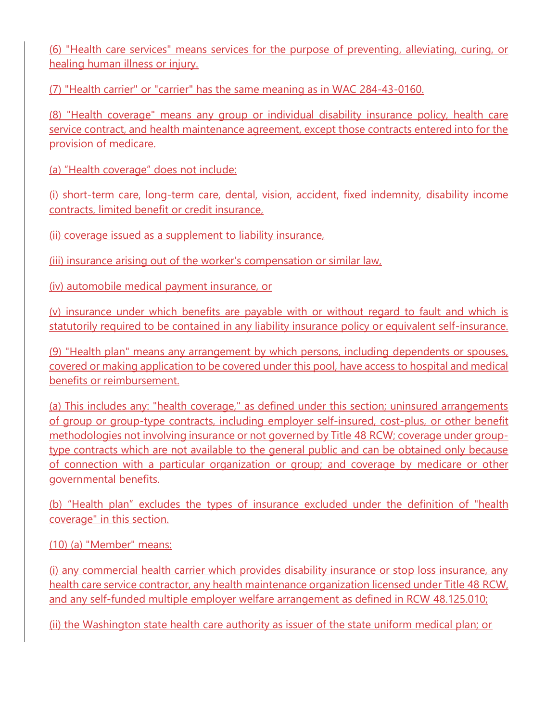(6) "Health care services" means services for the purpose of preventing, alleviating, curing, or healing human illness or injury.

(7) "Health carrier" or "carrier" has the same meaning as in WAC 284-43-0160.

 (8) "Health coverage" means any group or individual disability insurance policy, health care service contract, and health maintenance agreement, except those contracts entered into for the provision of medicare.

(a) "Health coverage" does not include:

 (i) short-term care, long-term care, dental, vision, accident, fixed indemnity, disability income contracts, limited benefit or credit insurance,

(ii) coverage issued as a supplement to liability insurance,

(iii) insurance arising out of the worker's compensation or similar law,

(iv) automobile medical payment insurance, or

 (v) insurance under which benefits are payable with or without regard to fault and which is statutorily required to be contained in any liability insurance policy or equivalent self-insurance.

 (9) "Health plan" means any arrangement by which persons, including dependents or spouses, covered or making application to be covered under this pool, have access to hospital and medical benefits or reimbursement.

(a) This includes any: "health coverage," as defined under this section; uninsured arrangements of group or group-type contracts, including employer self-insured, cost-plus, or other benefit methodologies not involving insurance or not governed by Title [48](http://app.leg.wa.gov/RCW/default.aspx?cite=48) RCW; coverage under grouptype contracts which are not available to the general public and can be obtained only because of connection with a particular organization or group; and coverage by medicare or other governmental benefits.

 (b) "Health plan" excludes the types of insurance excluded under the definition of "health coverage" in this section.

(10) (a) "Member" means:

 (i) any commercial health carrier which provides disability insurance or stop loss insurance, any health care service contractor, any health maintenance organization licensed under Title [48](http://app.leg.wa.gov/RCW/default.aspx?cite=48) RCW, and any self-funded multiple employer welfare arrangement as defined in RCW [48.125.010;](http://app.leg.wa.gov/RCW/default.aspx?cite=48.125.010)

(ii) the Washington state health care authority as issuer of the state uniform medical plan; or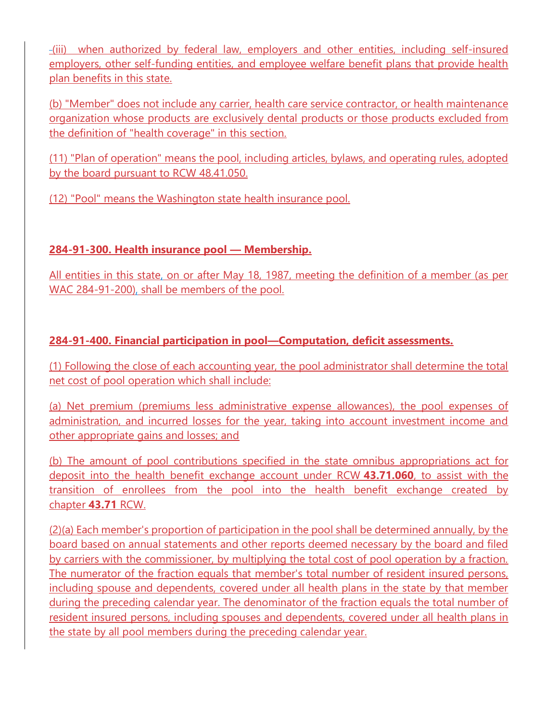(iii) when authorized by federal law, employers and other entities, including self-insured employers, other self-funding entities, and employee welfare benefit plans that provide health plan benefits in this state.

 (b) "Member" does not include any carrier, health care service contractor, or health maintenance organization whose products are exclusively dental products or those products excluded from the definition of "health coverage" in this section.

 (11) "Plan of operation" means the pool, including articles, bylaws, and operating rules, adopted by the board pursuant to RCW [48.41.050.](http://app.leg.wa.gov/RCW/default.aspx?cite=48.41.050)

(12) "Pool" means the Washington state health insurance pool.

# **284-91-300. Health insurance pool — Membership.**

 All entities in this state, on or after May 18, 1987, meeting the definition of a member (as per WAC 284-91-200), shall be members of the pool.

## **284-91-400. Financial participation in pool—Computation, deficit assessments.**

 (1) Following the close of each accounting year, the pool administrator shall determine the total net cost of pool operation which shall include:

 (a) Net premium (premiums less administrative expense allowances), the pool expenses of administration, and incurred losses for the year, taking into account investment income and other appropriate gains and losses; and

 (b) The amount of pool contributions specified in the state omnibus appropriations act for deposit into the health benefit exchange account under RCW **[43.71.060](http://app.leg.wa.gov/RCW/default.aspx?cite=43.71.060)**, to assist with the transition of enrollees from the pool into the health benefit exchange created by chapter **[43.71](http://app.leg.wa.gov/RCW/default.aspx?cite=43.71)** RCW.

 (2)(a) Each member's proportion of participation in the pool shall be determined annually, by the board based on annual statements and other reports deemed necessary by the board and filed by carriers with the commissioner, by multiplying the total cost of pool operation by a fraction. The numerator of the fraction equals that member's total number of resident insured persons, including spouse and dependents, covered under all health plans in the state by that member during the preceding calendar year. The denominator of the fraction equals the total number of resident insured persons, including spouses and dependents, covered under all health plans in the state by all pool members during the preceding calendar year.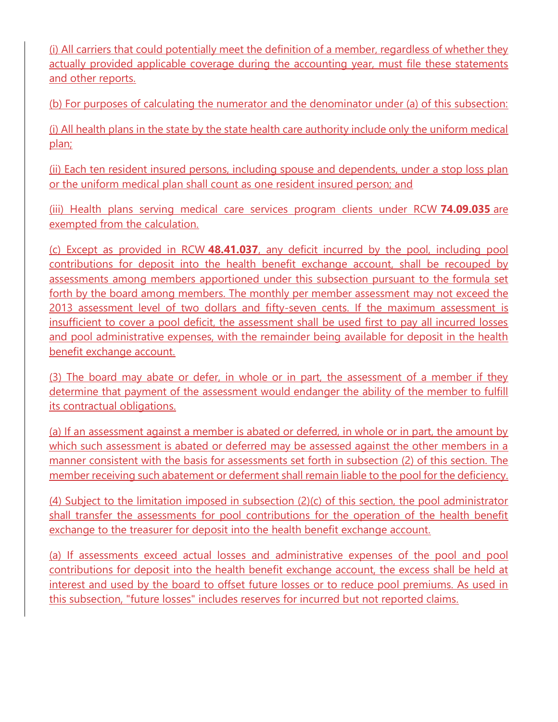(i) All carriers that could potentially meet the definition of a member, regardless of whether they actually provided applicable coverage during the accounting year, must file these statements and other reports.

(b) For purposes of calculating the numerator and the denominator under (a) of this subsection:

 (i) All health plans in the state by the state health care authority include only the uniform medical plan;

 (ii) Each ten resident insured persons, including spouse and dependents, under a stop loss plan or the uniform medical plan shall count as one resident insured person; and

 (iii) Health plans serving medical care services program clients under RCW **[74.09.035](http://app.leg.wa.gov/RCW/default.aspx?cite=74.09.035)** are exempted from the calculation.

 (c) Except as provided in RCW **[48.41.037](http://app.leg.wa.gov/RCW/default.aspx?cite=48.41.037)**, any deficit incurred by the pool, including pool contributions for deposit into the health benefit exchange account, shall be recouped by assessments among members apportioned under this subsection pursuant to the formula set forth by the board among members. The monthly per member assessment may not exceed the 2013 assessment level of two dollars and fifty-seven cents. If the maximum assessment is insufficient to cover a pool deficit, the assessment shall be used first to pay all incurred losses and pool administrative expenses, with the remainder being available for deposit in the health benefit exchange account.

(3) The board may abate or defer, in whole or in part, the assessment of a member if they determine that payment of the assessment would endanger the ability of the member to fulfill its contractual obligations.

(a) If an assessment against a member is abated or deferred, in whole or in part, the amount by which such assessment is abated or deferred may be assessed against the other members in a manner consistent with the basis for assessments set forth in subsection (2) of this section. The member receiving such abatement or deferment shall remain liable to the pool for the deficiency.

 (4) Subject to the limitation imposed in subsection (2)(c) of this section, the pool administrator shall transfer the assessments for pool contributions for the operation of the health benefit exchange to the treasurer for deposit into the health benefit exchange account.

 (a) If assessments exceed actual losses and administrative expenses of the pool and pool contributions for deposit into the health benefit exchange account, the excess shall be held at interest and used by the board to offset future losses or to reduce pool premiums. As used in this subsection, "future losses" includes reserves for incurred but not reported claims.